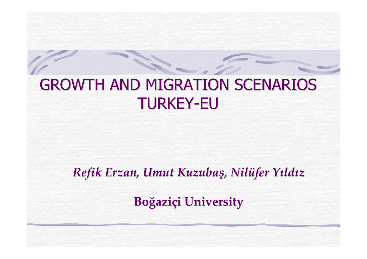# GROWTH AND MIGRATION SCENARIOS GROWTH AND MIGRATION SCENARIOS TURKEY -EU

*Refik Erzan, Umut Kuzuba ş, Nil üfer Yıld ı z*

**Bo ğazi ç i University University**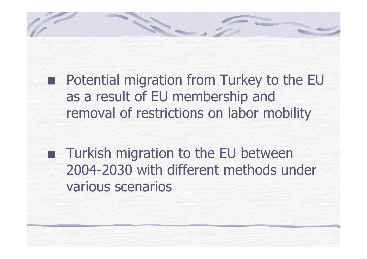

**Turkish migration to the EU between** 2004-2030 with different methods under various scenarios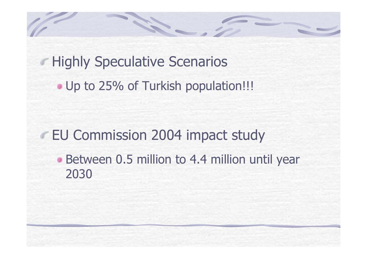**Highly Speculative Scenarios** • Up to 25% of Turkish population!!!

EU Commission 2004 impact study

**Between 0.5 million to 4.4 million until year** 2030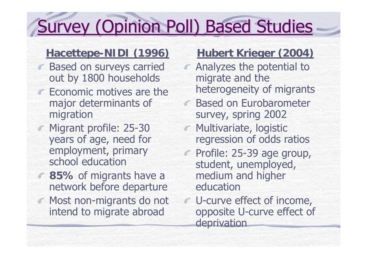# Survey (Opinion Poll) Based Studies

### **Hacettepe-NIDI (1996)**

- **Based on surveys carried** out by 1800 households
	- Economic motives are the major determinants of migration
- Migrant profile: 25-30 years of age, need for employment, primary school education
	- **85%** of migrants have a network before departure
- **Most non-migrants do not** intend to migrate abroad

### **Hubert Krieger (2004)**

- Analyzes the potential to migrate and the heterogeneity of migrants
- Based on Eurobarometer survey, spring 2002
- Multivariate, logistic regression of odds ratios
- Profile: 25-39 age group,  $\sqrt{2}$ student, unemployed, medium and higher education
- U-curve effect of income, opposite U-curve effect of deprivation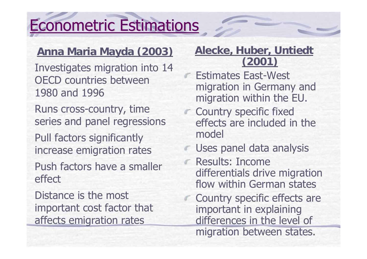# **Econometric Estimations**

## **Anna Maria Mayda (2003)**

Investigates migration into 14 OECD countries between 1980 and 1996

Runs cross-country, time series and panel regressions

Pull factors significantly increase emigration rates

Push factors have a smaller effect

Distance is the most important cost factor that affects emigration rates

#### **Alecke, Huber, Untiedt (2001)**

- Estimates East-West migration in Germany and migration within the EU.
- **Country specific fixed** effects are included in the model
- **Uses panel data analysis**
- Results: Income differentials drive migration flow within German states
- Country specific effects are important in explaining differences in the level of migration between states.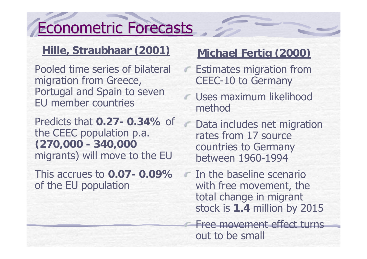# Econometric Forecasts

### **Hille, Straubhaar (2001)**

Pooled time series of bilateral migration from Greece, Portugal and Spain to seven EU member countries

Predicts that **0.27- 0.34%** of the CEEC population p.a. **(270,000 - 340,000** migrants) will move to the EU

This accrues to **0.07- 0.09%**of the EU population

## **Michael Fertig (2000)**

- Estimates migration from CEEC-10 to Germany
- Uses maximum likelihood method
- Data includes net migration rates from 17 source countries to Germany between 1960-1994

In the baseline scenario with free movement, the total change in migrant stock is **1.4** million by 2015

Free movement effect turns out to be small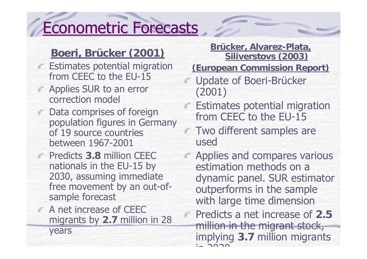# Econometric Forecasts Econometric Forecasts

### **Boeri, Brücker (2001)**

- **Estimates potential migration** from CEEC to the EU-15
- **Applies SUR to an error** correction model
	- Data comprises of foreign population figures in Germany of 19 source countries between 1967-2001
	- Predicts **3.8** million CEEC nationals in the EU-15 by 2030, assuming immediate free movement by an out-ofsample forecast
	- A net increase of CEEC migrants by **2.7** million in 28

years

**Brücker, Alvarez-Plata, Siliverstovs (2003)**

**(European Commission Report)**

- Update of Boeri-Brücker (2001)
- **Estimates potential migration** from CEEC to the EU-15
- **Two different samples are** used
- Applies and compares various estimation methods on a dynamic panel. SUR estimator outperforms in the sample with large time dimension
	- Predicts a net increase of **2.5**million in the migrant stock, implying **3.7** million migrants  $2020$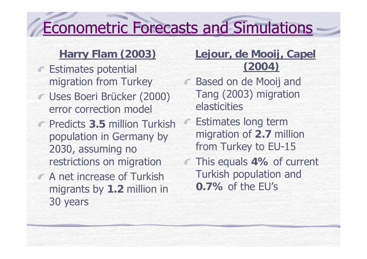# **Econometric Forecasts and Simulations**

### **Harry Flam (2003)**

- **Estimates potential** migration from Turkey
- Uses Boeri Brücker (2000) error correction model
	- Predicts **3.5** million Turkish population in Germany by 2030, assuming no restrictions on migration
- **A net increase of Turkish** migrants by **1.2** million in 30 years

### **Lejour, de Mooij, Capel (2004)**

- Based on de Mooij and Tang (2003) migration elasticities
- Estimates long term migration of **2.7** million from Turkey to EU-15
- This equals **4%** of current Turkish population and **0.7%** of the EU's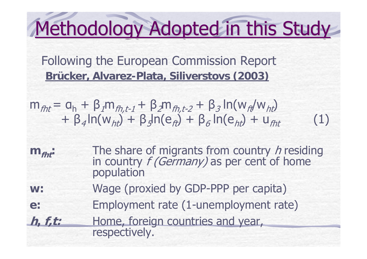# Methodology Adopted in this Study

Following the European Commission Report **Brücker, Alvarez-Plata, Siliverstovs (2003)**

$$
m_{fht} = a_h + \beta_1 m_{fh,t-1} + \beta_2 m_{fh,t-2} + \beta_3 \ln(w_{ft} / w_{ht}) + \beta_4 \ln(w_{ht}) + \beta_5 \ln(e_{ft}) + \beta_6 \ln(e_{ht}) + u_{fht}
$$
 (1)

- **m**<sub>fht</sub>: The share of migrants from country h residing in country  $f$  (Germany) as per cent of home population
- **w:**Wage (proxied by GDP-PPP per capita)
- **e:** Employment rate (1-unemployment rate)
- **h, f,t:** Home, foreign countries and year, respectively.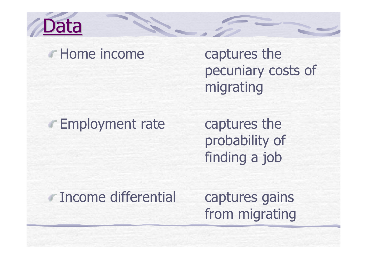

## **F** Home income captures the

pecuniary costs of migrating

# **Employment rate** captures the

probability of finding a job

# Income differential captures gains

from migrating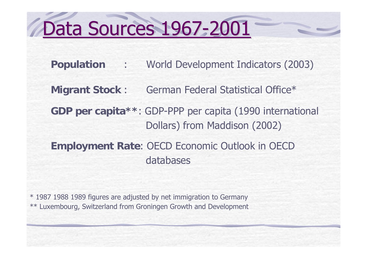# Data Sources 1967-2001

**Population** : World Development Indicators (2003)

**Migrant Stock** : German Federal Statistical Office\*

**GDP per capita\*\***: GDP-PPP per capita (1990 international Dollars) from Maddison (2002)

**Employment Rate**: OECD Economic Outlook in OECD databases

\* 1987 1988 1989 figures are adjusted by net immigration to Germany \*\* Luxembourg, Switzerland from Groningen Growth and Development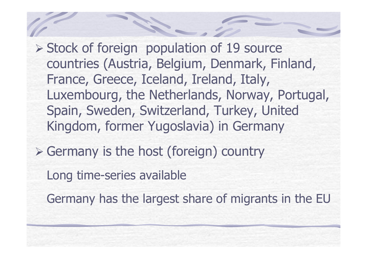¾ Stock of foreign population of 19 source countries (Austria, Belgium, Denmark, Finland, France, Greece, Iceland, Ireland, Italy, Luxembourg, the Netherlands, Norway, Portugal, Spain, Sweden, Switzerland, Turkey, United Kingdom, former Yugoslavia) in Germany

¾ Germany is the host (foreign) country

Long time-series available

Germany has the largest share of migrants in the EU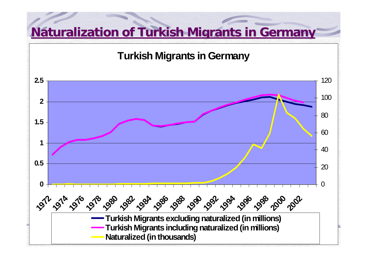# **Naturalization of Turkish Migrants in Germany**

**Turkish Migrants in Germany**

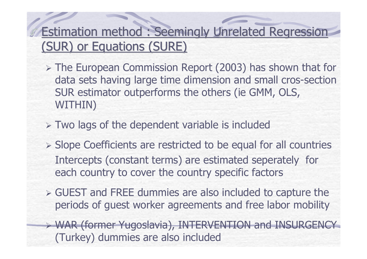## **Estimation method : Seemingly Unrelated Regression** (SUR) or Equations (SURE)

- ¾ The European Commission Report (2003) has shown that for data sets having large time dimension and small cros-section SUR estimator outperforms the others (ie GMM, OLS, WITHIN)
- ¾ Two lags of the dependent variable is included
- ¾ Slope Coefficients are restricted to be equal for all countries Intercepts (constant terms) are estimated seperately for each country to cover the country specific factors
- ¾ GUEST and FREE dummies are also included to capture the periods of guest worker agreements and free labor mobility
- ¾ WAR (former Yugoslavia), INTERVENTION and INSURGENCY (Turkey) dummies are also included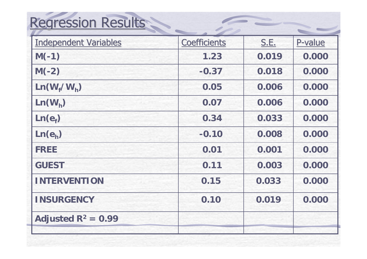# Regression Results

| <b>Independent Variables</b> | <b>Coefficients</b> | <b>S.E.</b> | P-value |
|------------------------------|---------------------|-------------|---------|
| $M(-1)$                      | 1.23                | 0.019       | 0.000   |
| $M(-2)$                      | $-0.37$             | 0.018       | 0.000   |
| $Ln(W_f/W_h)$                | 0.05                | 0.006       | 0.000   |
| $Ln(W_h)$                    | 0.07                | 0.006       | 0.000   |
| Ln(e <sub>f</sub> )          | 0.34                | 0.033       | 0.000   |
| Ln(e <sub>h</sub> )          | $-0.10$             | 0.008       | 0.000   |
| <b>FREE</b>                  | 0.01                | 0.001       | 0.000   |
| <b>GUEST</b>                 | 0.11                | 0.003       | 0.000   |
| <b>INTERVENTION</b>          | 0.15                | 0.033       | 0.000   |
| <b>INSURGENCY</b>            | 0.10                | 0.019       | 0.000   |
| Adjusted $R^2 = 0.99$        |                     |             |         |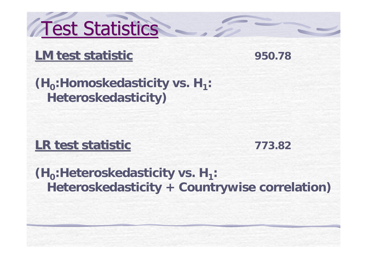Test Statistics

## **LM test statistic**

**950.78**

**(H<sub>0</sub>:Homoskedasticity vs. H<sub>1</sub>: Heteroskedasticity)**

## **LR test statistic**

**773.82**

**(H<sub>0</sub>:Heteroskedasticity vs. H<sub>1</sub>: Heteroskedasticity <sup>+</sup> Countrywise correlation)**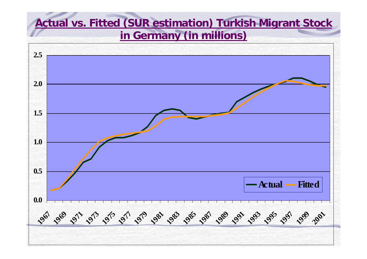### **Actual vs. Fitted (SUR estimation) Turkish Migrant Stock in Germany (in millions)**

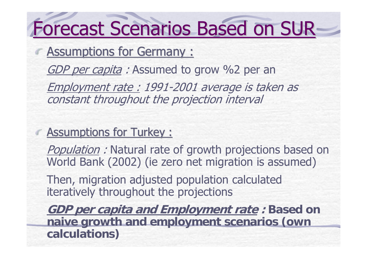# Forecast Scenarios Based on SUR-

Assumptions for Germany :

GDP per capita: Assumed to grow %2 per an

Employment rate : 1991-2001 average is taken as constant throughout the projection interval

### $\epsilon$  Assumptions for Turkey :

Population: Natural rate of growth projections based on World Bank (2002) (ie zero net migration is assumed)

Then, migration adjusted population calculated iteratively throughout the projections

**GDP per capita and Employment rate : Based on naive growth and employment scenarios (own calculations)**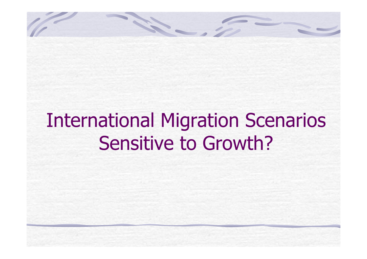# International Migration Scenarios Sensitive to Growth?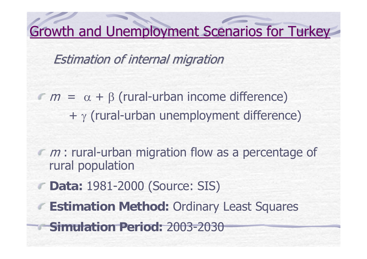Growth and Unemployment Scenarios for Turkey

Estimation of internal migration

- $m = \alpha + \beta$  (rural-urban income difference) <sup>+</sup><sup>γ</sup> (rural-urban unemployment difference)
- $m$ : rural-urban migration flow as a percentage of rural population
	- **Data:** 1981-2000 (Source: SIS)
	- **Estimation Method:** Ordinary Least Squares
	- **Simulation Period:** 2003-2030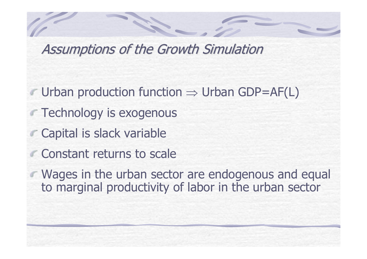Assumptions of the Growth Simulation

- Urban production function <sup>⇒</sup> Urban GDP=AF(L)
- **Technology is exogenous** 
	- Capital is slack variable
	- Constant returns to scale
- **Wages in the urban sector are endogenous and equal** to marginal productivity of labor in the urban sector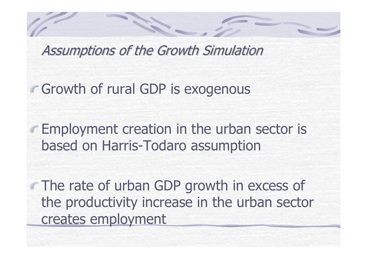Assumptions of the Growth Simulation

Growth of rural GDP is exogenous

Employment creation in the urban sector is based on Harris-Todaro assumption

The rate of urban GDP growth in excess of the productivity increase in the urban sector creates employment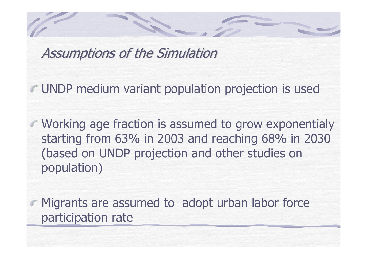Assumptions of the Simulation

UNDP medium variant population projection is used

Working age fraction is assumed to grow exponentialy starting from 63% in 2003 and reaching 68% in 2030 (based on UNDP projection and other studies on population)

Migrants are assumed to adopt urban labor force participation rate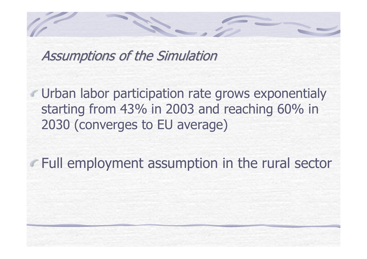Assumptions of the Simulation

Urban labor participation rate grows exponentialy starting from 43% in 2003 and reaching 60% in 2030 (converges to EU average)

Full employment assumption in the rural sector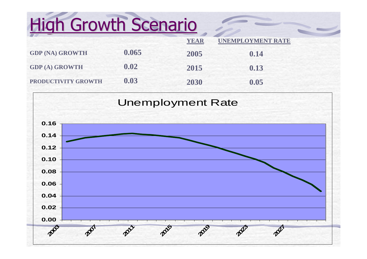# **High Growth Scenario**

|                        |       | <b>YEAR</b> | <b>UNEMPLOYMENT RATE</b> |  |
|------------------------|-------|-------------|--------------------------|--|
| <b>GDP (NA) GROWTH</b> | 0.065 | 2005        | 0.14                     |  |
| <b>GDP (A) GROWTH</b>  | 0.02  | 2015        | 0.13                     |  |
| PRODUCTIVITY GROWTH    | 0.03  | 2030        | 0.05                     |  |

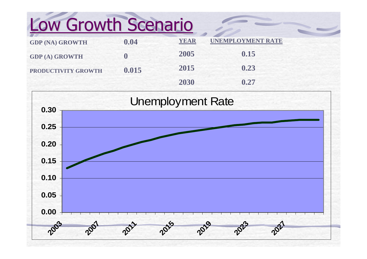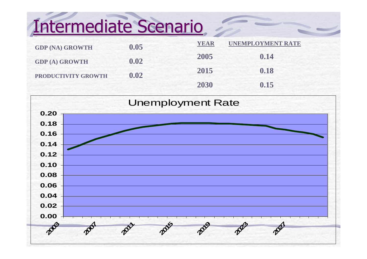# Intermediate Scenario

| <b>GDP (NA) GROWTH</b> | 0.05 | <b>YEAR</b> | <b>UNEMPLOYMENT RATE</b> |
|------------------------|------|-------------|--------------------------|
| <b>GDP (A) GROWTH</b>  | 0.02 | 2005        | 0.14                     |
| PRODUCTIVITY GROWTH    | 0.02 | 2015        | 0.18                     |
|                        |      | 2030        | 0.15                     |

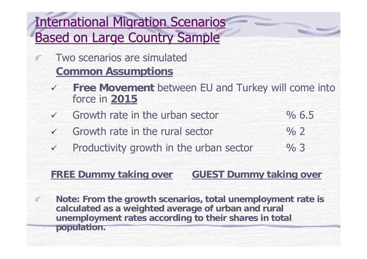# **International Migration Scenarios** Based on Large Country Sample

- Two scenarios are simulated **Common Assumptions**
- $\sqrt{2}$ **Free Movement** between EU and Turkey will come into force in **2015**
- $\sqrt{}$  Growth rate in the urban sector  $\%$  6.5
- $\checkmark$  Growth rate in the rural sector  $\%$  2
- $\checkmark$ Productivity growth in the urban sector % 3

#### **FREE Dummy taking over GUEST Dummy taking over**

**Note: From the growth scenarios, total unemployment rate is calculated as a weighted average of urban and rural unemployment rates according to their shares in total population.**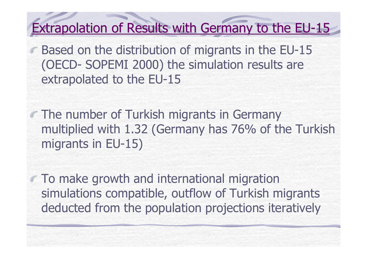# Extrapolation of Results with Germany to the EU-15

Based on the distribution of migrants in the EU-15 (OECD- SOPEMI 2000) the simulation results are extrapolated to the EU-15

**The number of Turkish migrants in Germany** multiplied with 1.32 (Germany has 76% of the Turkish migrants in EU-15)

To make growth and international migration simulations compatible, outflow of Turkish migrants deducted from the population projections iteratively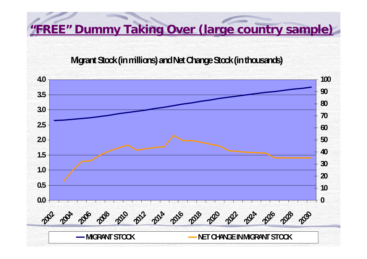**"FREE" Dummy Taking Over (large country sample)**

#### **Migrant Stock (in millions) and Net Change Stock (in thousands)**

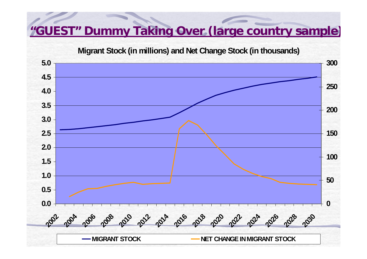#### **"GUEST" Dummy Taking Over (large country sample )**

**Migrant Stock (in millions) and Net Change Stock (in thousands)**

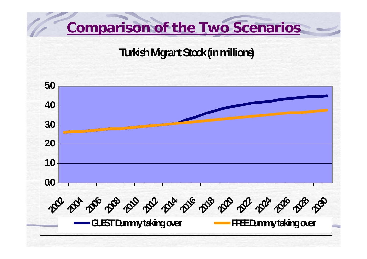# **Comparison of the Two Scenarios**

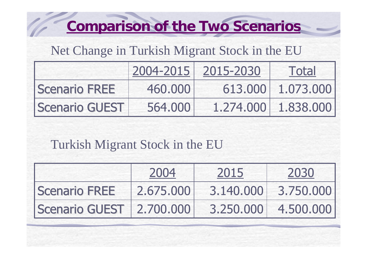# **Comparison of the Two Scenarios**

## Net Change in Turkish Migrant Stock in the EU

|                | 2004-2015 | 2015-2030 | Total               |
|----------------|-----------|-----------|---------------------|
| Scenario FREE  | 460.000   |           | 613,000 1.073,000   |
| Scenario GUEST | 564,000   |           | 1.274.000 1.838.000 |

## Turkish Migrant Stock in the EU

|                          | 2004      | 2015 | 2030                |
|--------------------------|-----------|------|---------------------|
| Scenario FREE            | 2.675,000 |      | 3.140.000 3.750.000 |
| Scenario GUEST 2.700.000 |           |      | 3.250.000 4.500.000 |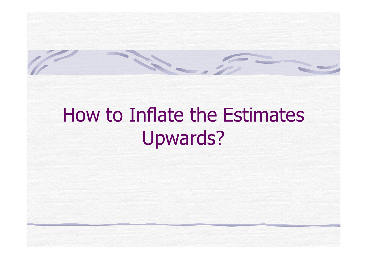# How to Inflate the Estimates Upwards?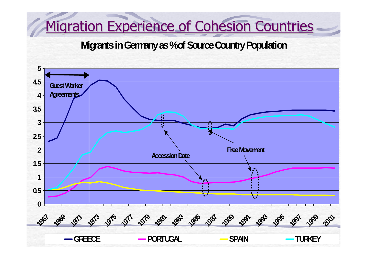# Migration Experience of Cohesion Countries

#### **Migrants in Germany as % of Source Country Population**

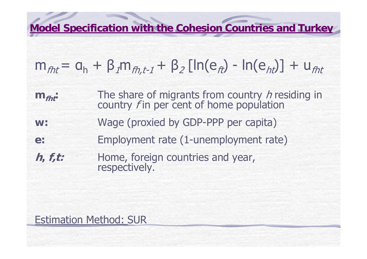**Model Specification with the Cohesion Countries and Turkey** 

$$
m_{fht} = a_h + \beta_1 m_{fh,t-1} + \beta_2 [\ln(e_{ft}) - \ln(e_{ht})] + u_{fht}
$$

**m**<sub>fht</sub>: The share of migrants from country h residing in country  $f$  in per cent of home population

- **w:**Wage (proxied by GDP-PPP per capita)
- **e:** Employment rate (1-unemployment rate)
- **h, f,t:** Home, foreign countries and year, respectively.

#### Estimation Method: SUR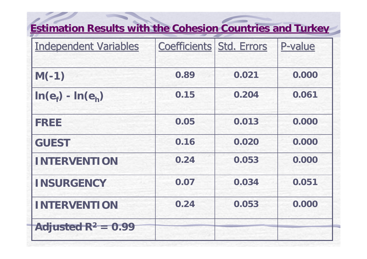# **Estimation Results with the Cohesion Countries and Turkey**

| <b>Independent Variables</b> | <b>Coefficients Std. Errors</b> |       | P-value |
|------------------------------|---------------------------------|-------|---------|
| $M(-1)$                      | 0.89                            | 0.021 | 0.000   |
| $ln(e_f) - ln(e_h)$          | 0.15                            | 0.204 | 0.061   |
| <b>FREE</b>                  | 0.05                            | 0.013 | 0.000   |
| <b>GUEST</b>                 | 0.16                            | 0.020 | 0.000   |
| <b>INTERVENTION</b>          | 0.24                            | 0.053 | 0.000   |
| <b>INSURGENCY</b>            | 0.07                            | 0.034 | 0.051   |
| <b>INTERVENTION</b>          | 0.24                            | 0.053 | 0.000   |
| Adjusted $R^2 = 0.99$        |                                 |       |         |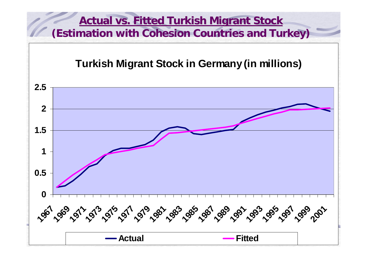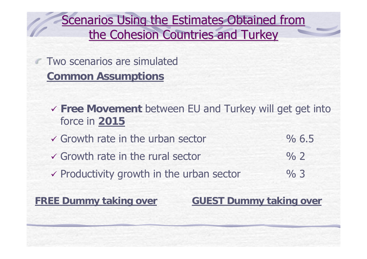Scenarios Using the Estimates Obtained from the Cohesion Countries and Turkey

**Two scenarios are simulated Common Assumptions**

- 9 **Free Movement** between EU and Turkey will get get into force in **2015**
- $\sqrt{2}$  Growth rate in the urban sector  $\frac{1}{2}$  6.5
- $\checkmark$  Growth rate in the rural sector  $\%$  2
- $\checkmark$  Productivity growth in the urban sector  $\%$  3

**FREE Dummy taking over <b>GUEST Dummy taking over**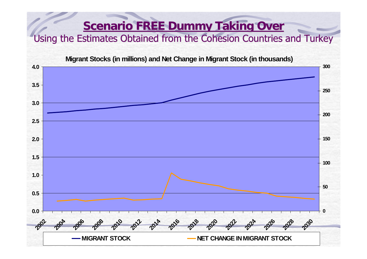#### **Scenario FREE Dummy Taking Over**

#### Using the Estimates Obtained from the Cohesion Countries and Turkey

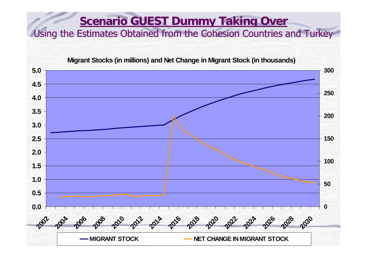#### **<u>Scenario GUEST Dummy Taking Over</u>** Using the Estimates Obtained from the Cohesion Countries and Turkey

**Migrant Stocks (in millions) and Net Change in Migrant Stock (in thousands)**

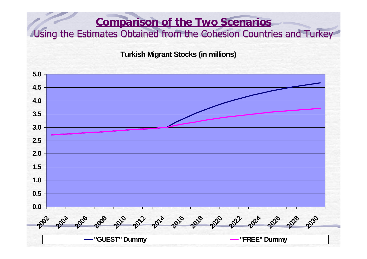#### **Comparison of the Two Scenarios** Using the Estimates Obtained from the Cohesion Countries and Turkey

**Turkish Migrant Stocks (in millions)**

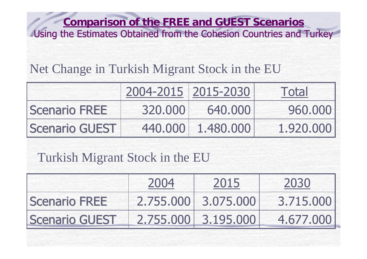**Comparison of the FREE and GUEST Scenarios** Using the Estimates Obtained from the Cohesion Countries and Turkey

## Net Change in Turkish Migrant Stock in the EU

|                       | 2004-2015 2015-2030 |                   | Total     |
|-----------------------|---------------------|-------------------|-----------|
| <b>Scenario FREE</b>  | 320,000             | 640,000           | 960,000   |
| <b>Scenario GUEST</b> |                     | 440,000 1.480.000 | 1.920.000 |

## Turkish Migrant Stock in the EU

|                       | 2004 | 2015                | 2030      |
|-----------------------|------|---------------------|-----------|
| <b>Scenario FREE</b>  |      | 2.755.000 3.075.000 | 3.715.000 |
| <b>Scenario GUEST</b> |      | 2.755.000 3.195.000 | 4.677.000 |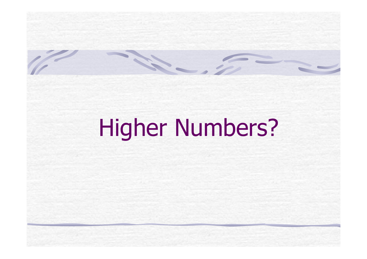# Higher Numbers?

**CENTER**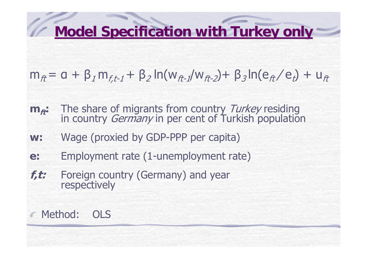# **Model Specification with Turkey only**

- $m_{\hat{\pi}} = a + \beta_1 m_{f,t-1} + \beta_2 \ln(w_{\hat{\pi}-1}/w_{\hat{\pi}-2}) + \beta_3 \ln(e_{\hat{\pi}}/e_t) + u_{\hat{\pi}}$
- **m**<sub>ft</sub>: The share of migrants from country Turkey residing<br>in country *Germany* in per cent of Turkish population
- **w:**Wage (proxied by GDP-PPP per capita)
- **e:** Employment rate (1-unemployment rate)
- **f,t:** Foreign country (Germany) and year respectively

## Method: OLS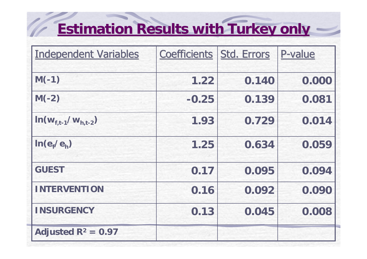# **Estimation Results with Turkey only**

**Contract Contract Contract** 

| <b>Independent Variables</b>        | <b>Coefficients Std. Errors</b> |       | P-value |
|-------------------------------------|---------------------------------|-------|---------|
| $M(-1)$                             | 1.22                            | 0.140 | 0.000   |
| $M(-2)$                             | $-0.25$                         | 0.139 | 0.081   |
| $In(w_{f,t-1}/w_{h,t-2})$           | 1.93                            | 0.729 | 0.014   |
| In(e <sub>f</sub> /e <sub>h</sub> ) | 1.25                            | 0.634 | 0.059   |
| <b>GUEST</b>                        | 0.17                            | 0.095 | 0.094   |
| <b>INTERVENTION</b>                 | 0.16                            | 0.092 | 0.090   |
| <b>INSURGENCY</b>                   | 0.13                            | 0.045 | 0.008   |
| Adjusted $R^2 = 0.97$               |                                 |       |         |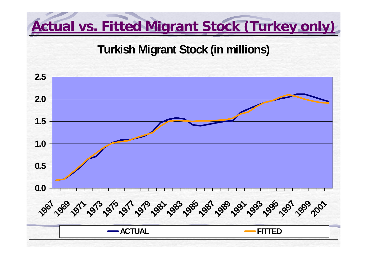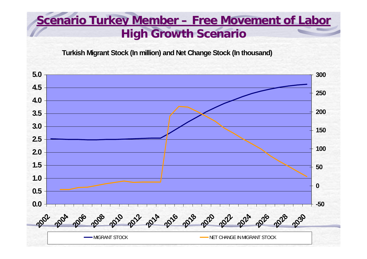## **Scenario Scenario Turkey Member Turkey Member – Free Movement Free Movement of Labor High Growth Scenario**

**Turkish Migrant Stock (In million) and Net Change Stock (In thousand)**

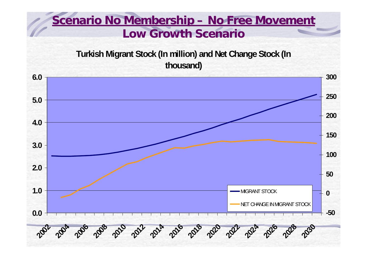### **<u>Scenario No Membership – No Free Movement</u> Low Growth Scenario**

**Turkish Migrant Stock (In million) and Net Change Stock (In thousand)**

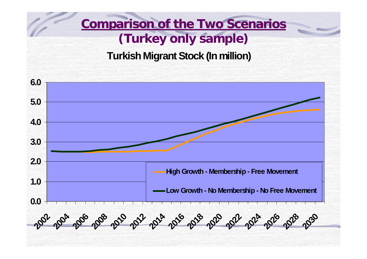# **Comparison of the Two Scenarios (Turkey only sample)**

#### **Turkish Migrant Stock (In million)**

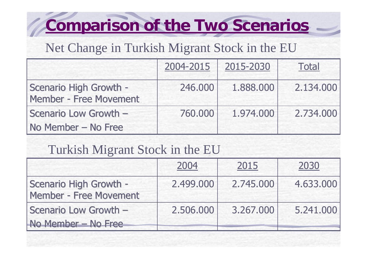# **Comparison of the Two Scenarios**

## Net Change in Turkish Migrant Stock in the EU

|                                                  | 2004-2015 | 2015-2030 | <b>Total</b> |
|--------------------------------------------------|-----------|-----------|--------------|
| Scenario High Growth -<br>Member - Free Movement | 246.000   | 1.888.000 | 2.134.000    |
| Scenario Low Growth -                            | 760.000   | 1,974,000 | 2,734,000    |
| No Member - No Free                              |           |           |              |

## Turkish Migrant Stock in the EU

|                                                  | 2004      | 2015      | 2030      |
|--------------------------------------------------|-----------|-----------|-----------|
| Scenario High Growth -<br>Member - Free Movement | 2.499.000 | 2.745.000 | 4.633.000 |
| Scenario Low Growth -<br>No Member - No Free     | 2.506.000 | 3,267,000 | 5.241.000 |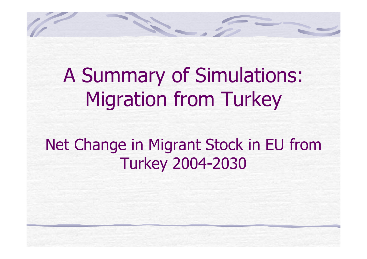A Summary of Simulations: Migration from Turkey

# Net Change in Migrant Stock in EU from Turkey 2004-2030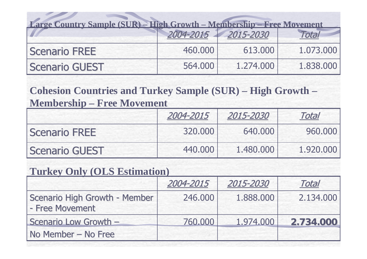| Large Country Sample (SUR) - High Growth - Membership - Free Movement |         |                     |           |  |  |
|-----------------------------------------------------------------------|---------|---------------------|-----------|--|--|
|                                                                       |         | 2004-2015 2015-2030 | otal      |  |  |
| <b>Scenario FREE</b>                                                  | 460,000 | 613.000             | 1.073.000 |  |  |
| <b>Scenario GUEST</b>                                                 | 564,000 | 1.274.000           | 1.838,000 |  |  |

**Cohesion Countries and Turkey Sample (SUR) – High Growth – Membership – Free Movement**

|                       | 2004-2015 | 2015-2030 | Total     |
|-----------------------|-----------|-----------|-----------|
| <b>Scenario FREE</b>  | 320,000   | 640,000   | 960,000   |
| <b>Scenario GUEST</b> | 440,000   | 1.480,000 | 1.920.000 |

#### **Turkey Only (OLS Estimation)**

|                                                  | 2004-2015 | 2015-2030 | <b>Total</b> |
|--------------------------------------------------|-----------|-----------|--------------|
| Scenario High Growth - Member<br>- Free Movement | 246.000   | 1,888,000 | 2.134.000    |
| Scenario Low Growth -                            | 760,000   | 1.974.000 | 2.734.000    |
| No Member - No Free                              |           |           |              |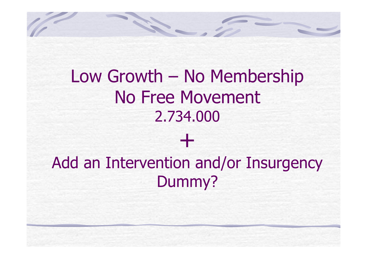

# Add an Intervention and/or Insurgency Dummy?

+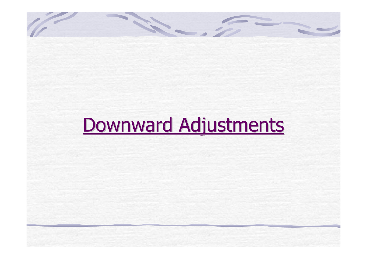# Downward Adjustments

**Contract Contract Contract Contract Contract Contract Contract Contract Contract Contract Contract Contract C**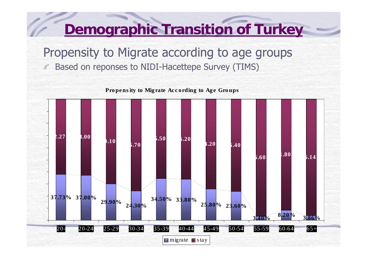Propensity to Migrate according to age groups Based on reponses to NIDI-Hacettepe Survey (TIMS)



Propensity to Migrate According to Age Groups

# **Demographic Transition of Turkey**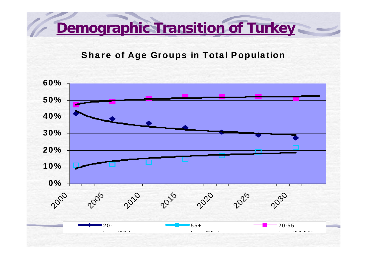**Demographic Transition of Turkey** 

**Share of Age Groups in Total Population**

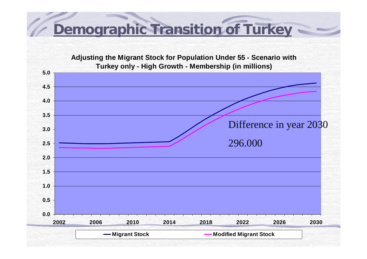# **Demographic Transition of Turkey**

**Adjusting the Migrant Stock for Population Under 55 - Scenario with Turkey only - High Growth - Membership (in millions)**